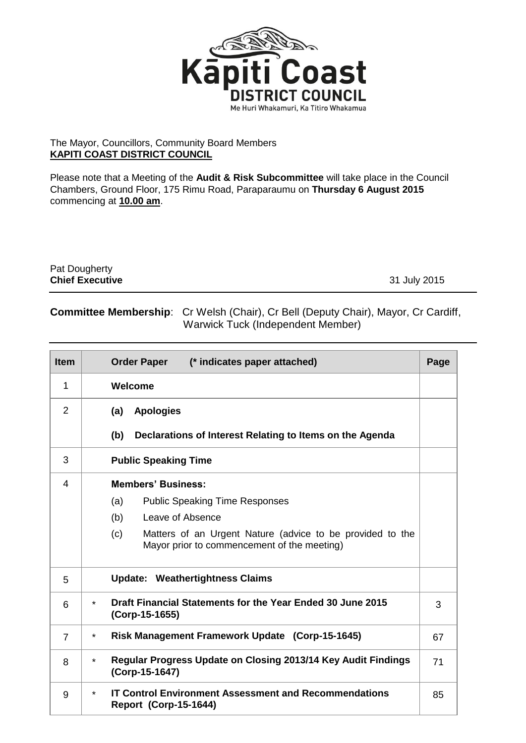

## The Mayor, Councillors, Community Board Members **KAPITI COAST DISTRICT COUNCIL**

Please note that a Meeting of the **Audit & Risk Subcommittee** will take place in the Council Chambers, Ground Floor, 175 Rimu Road, Paraparaumu on **Thursday 6 August 2015** commencing at **10.00 am**.

| <b>Pat Dougherty</b>   |              |
|------------------------|--------------|
| <b>Chief Executive</b> | 31 July 2015 |

## **Committee Membership**: Cr Welsh (Chair), Cr Bell (Deputy Chair), Mayor, Cr Cardiff, Warwick Tuck (Independent Member)

| <b>Item</b>    | <b>Order Paper</b><br>(* indicates paper attached)                                                              | Page |  |  |
|----------------|-----------------------------------------------------------------------------------------------------------------|------|--|--|
| 1              | <b>Welcome</b>                                                                                                  |      |  |  |
| $\overline{2}$ | <b>Apologies</b><br>(a)                                                                                         |      |  |  |
|                | (b)<br>Declarations of Interest Relating to Items on the Agenda                                                 |      |  |  |
| 3              | <b>Public Speaking Time</b>                                                                                     |      |  |  |
| 4              | <b>Members' Business:</b>                                                                                       |      |  |  |
|                | (a)<br><b>Public Speaking Time Responses</b>                                                                    |      |  |  |
|                | (b)<br>Leave of Absence                                                                                         |      |  |  |
|                | Matters of an Urgent Nature (advice to be provided to the<br>(c)<br>Mayor prior to commencement of the meeting) |      |  |  |
| 5              | <b>Update: Weathertightness Claims</b>                                                                          |      |  |  |
| 6              | Draft Financial Statements for the Year Ended 30 June 2015<br>$\star$<br>(Corp-15-1655)                         |      |  |  |
| $\overline{7}$ | Risk Management Framework Update (Corp-15-1645)<br>$\star$                                                      | 67   |  |  |
| 8              | Regular Progress Update on Closing 2013/14 Key Audit Findings<br>$\star$<br>(Corp-15-1647)                      | 71   |  |  |
| 9              | <b>IT Control Environment Assessment and Recommendations</b><br>$\star$<br><b>Report (Corp-15-1644)</b>         | 85   |  |  |